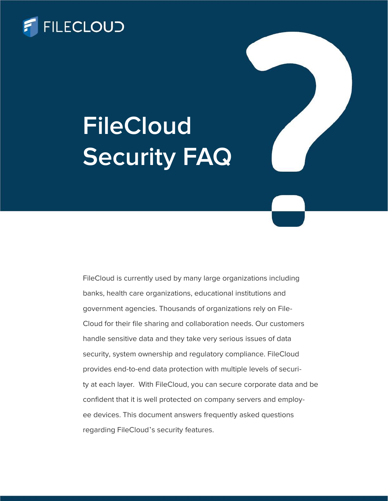

## **FileCloud** Security FAQ

FileCloud is currently used by many large organizations including banks, health care organizations, educational institutions and government agencies. Thousands of organizations rely on File-Cloud for their file sharing and collaboration needs. Our customers handle sensitive data and they take very serious issues of data security, system ownership and regulatory compliance. FileCloud provides end-to-end data protection with multiple levels of security at each layer. With FileCloud, you can secure corporate data and be confident that it is well protected on company servers and employee devices. This document answers frequently asked questions regarding FileCloud's security features.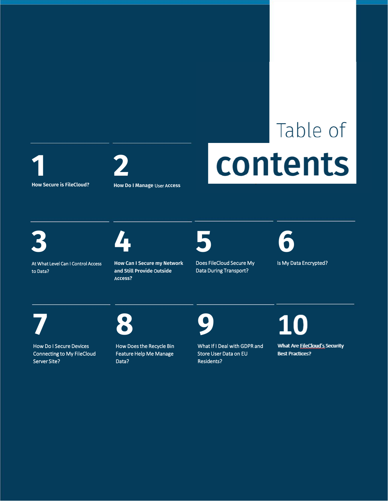Table of 1 2 **CONTENTS** 



At What Level Can I Control Access to Data?

How Can I Secure my Network and Still Provide Outside Access?

How Do I Manage User Access



Does FileCloud Secure My Is My Data Encrypted? Data During Transport?





How Do I Secure Devices Connecting to My FileCloud Server Site?

How Does the Recycle Bin Feature Help Me Manage Data?

What If I Deal with GDPR and Store User Data on EU Residents?

**10** 

What Are FileCloud's Security **Best Practices?**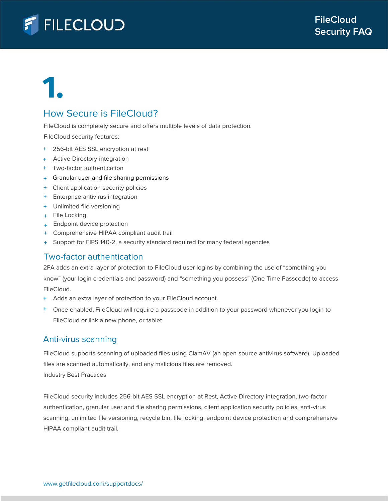

## How Secure is FileCloud?

FileCloud is completely secure and offers multiple levels of data protection.

FileCloud security features:

- + 256-bit AES SSL encryption at rest
- + Active Directory integration
- Two-factor authentication +
- Granular user and file sharing permissions +
- + Client application security policies
- + Enterprise antivirus integration
- Unlimited file versioning +
- + File Locking
- Endpoint device protection +
- Comprehensive HIPAA compliant audit trail +
- Support for FIPS 140-2, a security standard required for many federal agencies +

### Two-factor authentication

2FA adds an extra layer of protection to FileCloud user logins by combining the use of "something you know" (your login credentials and password) and "something you possess" (One Time Passcode) to access FileCloud.

- + Adds an extra layer of protection to your FileCloud account.
- + Once enabled, FileCloud will require a passcode in addition to your password whenever you login to FileCloud or link a new phone, or tablet.

### Anti-virus scanning

FileCloud supports scanning of uploaded files using ClamAV (an open source antivirus software). Uploaded files are scanned automatically, and any malicious files are removed. Industry Best Practices

FileCloud security includes 256-bit AES SSL encryption at Rest, Active Directory integration, two-factor authentication, granular user and file sharing permissions, client application security policies, anti-virus scanning, unlimited file versioning, recycle bin, file locking, endpoint device protection and comprehensive HIPAA compliant audit trail.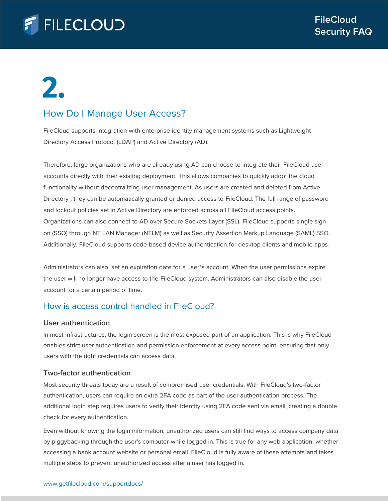## **FILECLOUD**

## 2.

## How Do I Manage User Access?

FileCloud supports integration with enterprise identity management systems such as Lightweight Directory Access Protocol (LDAP) and Active Directory (AD).

Therefore, large organizations who are already using AD can choose to integrate their FileCloud user accounts directly with their existing deployment. This allows companies to quickly adopt the cloud functionality without decentralizing user management. As users are created and deleted from Active Directory , they can be automatically granted or denied access to FileCloud. The full range of password and lockout policies set in Active Directory are enforced across all FileCloud access points. Organizations can also connect to AD over Secure Sockets Layer (SSL). FileCloud supports single signon (SSO) through NT LAN Manager (NTLM) as well as Security Assertion Markup Language (SAML) SSO. Additionally, FileCloud supports code-based device authentication for desktop clients and mobile apps.

Administrators can also set an expiration date for a user's account. When the user permissions expire the user will no longer have access to the FileCloud system. Administrators can also disable the user account for a certain period of time.

## How is access control handled in FileCloud?

#### User authentication

In most infrastructures, the login screen is the most exposed part of an application. This is why FileCloud enables strict user authentication and permission enforcement at every access point, ensuring that only users with the right credentials can access data.

### Two-factor authentication

Most security threats today are a result of compromised user credentials. With FileCloud's two-factor authentication, users can require an extra 2FA code as part of the user authentication process. The additional login step requires users to verify their identity using 2FA code sent via email, creating a double check for every authentication.

Even without knowing the login information, unauthorized users can still find ways to access company data by piggybacking through the user's computer while logged in. This is true for any web application, whether accessing a bank account website or personal email. FileCloud is fully aware of these attempts and takes multiple steps to prevent unauthorized access after a user has logged in.

#### www.getfilecloud.com/supportdocs/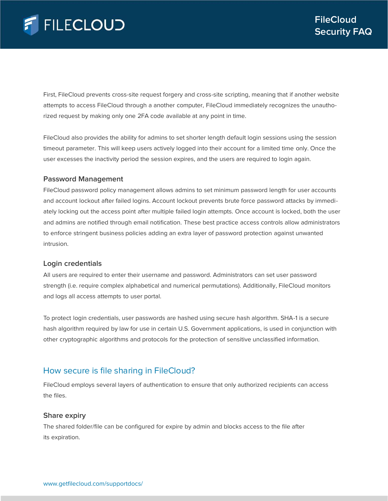First, FileCloud prevents cross-site request forgery and cross-site scripting, meaning that if another website attempts to access FileCloud through a another computer, FileCloud immediately recognizes the unauthorized request by making only one 2FA code available at any point in time.

FileCloud also provides the ability for admins to set shorter length default login sessions using the session timeout parameter. This will keep users actively logged into their account for a limited time only. Once the user excesses the inactivity period the session expires, and the users are required to login again.

#### Password Management

FileCloud password policy management allows admins to set minimum password length for user accounts and account lockout after failed logins. Account lockout prevents brute force password attacks by immediately locking out the access point after multiple failed login attempts. Once account is locked, both the user and admins are notified through email notification. These best practice access controls allow administrators to enforce stringent business policies adding an extra layer of password protection against unwanted intrusion.

#### Login credentials

All users are required to enter their username and password. Administrators can set user password strength (i.e. require complex alphabetical and numerical permutations). Additionally, FileCloud monitors and logs all access attempts to user portal.

To protect login credentials, user passwords are hashed using secure hash algorithm. SHA-1 is a secure hash algorithm required by law for use in certain U.S. Government applications, is used in conjunction with other cryptographic algorithms and protocols for the protection of sensitive unclassified information.

## How secure is file sharing in FileCloud?

FileCloud employs several layers of authentication to ensure that only authorized recipients can access the files.

### Share expiry

The shared folder/file can be configured for expire by admin and blocks access to the file after its expiration.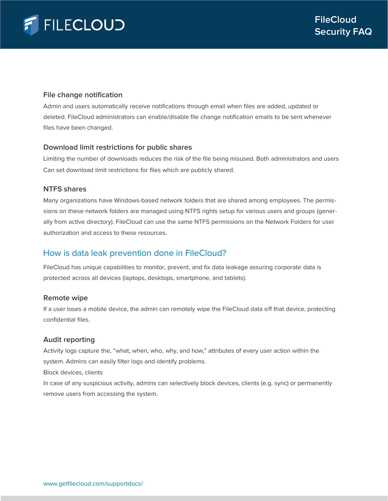### File change notification

Admin and users automatically receive notifications through email when files are added, updated or deleted. FileCloud administrators can enable/disable file change notification emails to be sent whenever files have been changed.

#### Download limit restrictions for public shares

Limiting the number of downloads reduces the risk of the file being misused. Both administrators and users Can set download limit restrictions for files which are publicly shared.

### NTFS shares

Many organizations have Windows-based network folders that are shared among employees. The permissions on these network folders are managed using NTFS rights setup for various users and groups (generally from active directory). FileCloud can use the same NTFS permissions on the Network Folders for user authorization and access to these resources.

## How is data leak prevention done in FileCloud?

FileCloud has unique capabilities to monitor, prevent, and fix data leakage assuring corporate data is protected across all devices (laptops, desktops, smartphone, and tablets).

#### Remote wipe

If a user loses a mobile device, the admin can remotely wipe the FileCloud data off that device, protecting confidential files.

#### Audit reporting

Activity logs capture the, "what, when, who, why, and how," attributes of every user action within the system. Admins can easily filter logs and identify problems.

Block devices, clients

In case of any suspicious activity, admins can selectively block devices, clients (e.g. sync) or permanently remove users from accessing the system.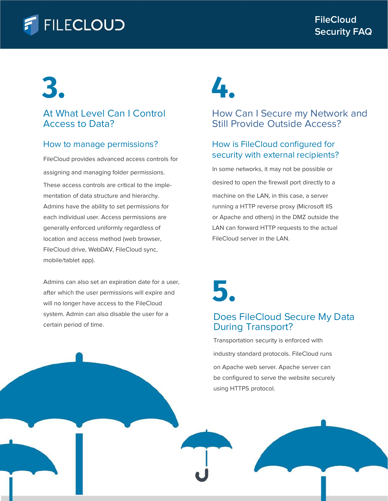## **FILECLOUD**

# 3. 4.

## At What Level Can I Control Access to Data?

## How to manage permissions?

FileCloud provides advanced access controls for assigning and managing folder permissions. desired to open the firewall port directly to a These access controls are critical to the implementation of data structure and hierarchy. Admins have the ability to set permissions for each individual user. Access permissions are generally enforced uniformly regardless of location and access method (web browser, FileCloud drive, WebDAV, FileCloud sync, mobile/tablet app).

Admins can also set an expiration date for a user,<br>after which the user permissions will expire and<br>will no longer have access to the FileCloud after which the user permissions will expire and will no longer have access to the FileCloud system. Admin can also disable the user for a certain period of time.

## How Can I Secure my Network and Still Provide Outside Access?

## How is FileCloud configured for security with external recipients?

In some networks, it may not be possible or machine on the LAN, in this case, a server running a HTTP reverse proxy (Microsoft IIS or Apache and others) in the DMZ outside the LAN can forward HTTP requests to the actual FileCloud server in the LAN.



## Does FileCloud Secure My Data During Transport?

Transportation security is enforced with industry standard protocols. FileCloud runs on Apache web server. Apache server can be configured to serve the website securely using HTTPS protocol.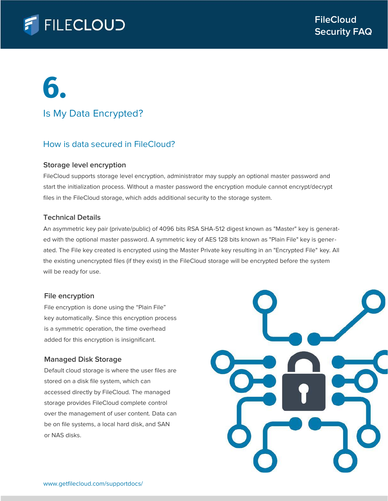

## Is My Data Encrypted?

### How is data secured in FileCloud?

#### Storage level encryption

FileCloud supports storage level encryption, administrator may supply an optional master password and start the initialization process. Without a master password the encryption module cannot encrypt/decrypt files in the FileCloud storage, which adds additional security to the storage system.

#### Technical Details

An asymmetric key pair (private/public) of 4096 bits RSA SHA-512 digest known as "Master" key is generated with the optional master password. A symmetric key of AES 128 bits known as "Plain File" key is generated. The File key created is encrypted using the Master Private key resulting in an "Encrypted File" key. All the existing unencrypted files (if they exist) in the FileCloud storage will be encrypted before the system will be ready for use.

#### File encryption

File encryption is done using the "Plain File" key automatically. Since this encryption process is a symmetric operation, the time overhead added for this encryption is insignificant.

### Managed Disk Storage

Default cloud storage is where the user files are stored on a disk file system, which can accessed directly by FileCloud. The managed storage provides FileCloud complete control over the management of user content. Data can be on file systems, a local hard disk, and SAN or NAS disks.

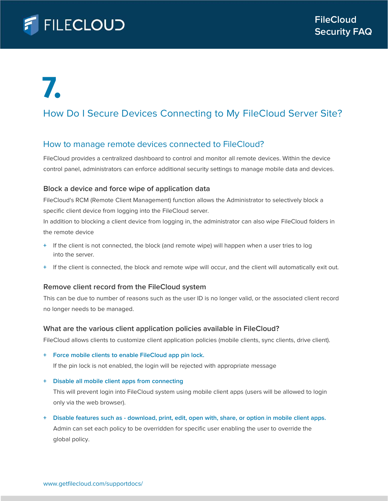

## How Do I Secure Devices Connecting to My FileCloud Server Site?

### How to manage remote devices connected to FileCloud?

FileCloud provides a centralized dashboard to control and monitor all remote devices. Within the device control panel, administrators can enforce additional security settings to manage mobile data and devices.

#### Block a device and force wipe of application data

FileCloud's RCM (Remote Client Management) function allows the Administrator to selectively block a specific client device from logging into the FileCloud server.

In addition to blocking a client device from logging in, the administrator can also wipe FileCloud folders in the remote device

- + If the client is not connected, the block (and remote wipe) will happen when a user tries to log into the server.
- + If the client is connected, the block and remote wipe will occur, and the client will automatically exit out.

### Remove client record from the FileCloud system

This can be due to number of reasons such as the user ID is no longer valid, or the associated client record no longer needs to be managed.

#### What are the various client application policies available in FileCloud?

FileCloud allows clients to customize client application policies (mobile clients, sync clients, drive client).

+ Force mobile clients to enable FileCloud app pin lock.

If the pin lock is not enabled, the login will be rejected with appropriate message

+ Disable all mobile client apps from connecting

This will prevent login into FileCloud system using mobile client apps (users will be allowed to login only via the web browser).

+ Disable features such as - download, print, edit, open with, share, or option in mobile client apps. Admin can set each policy to be overridden for specific user enabling the user to override the global policy.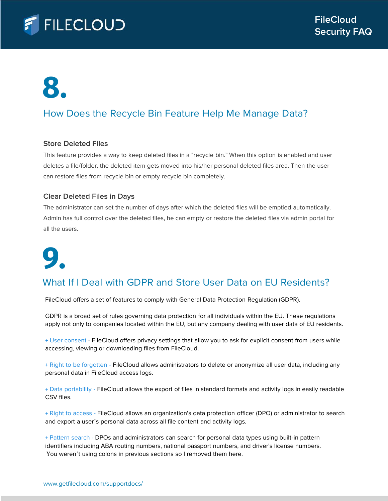

## How Does the Recycle Bin Feature Help Me Manage Data?

#### Store Deleted Files

This feature provides a way to keep deleted files in a "recycle bin." When this option is enabled and user deletes a file/folder, the deleted item gets moved into his/her personal deleted files area. Then the user can restore files from recycle bin or empty recycle bin completely.

#### Clear Deleted Files in Days

The administrator can set the number of days after which the deleted files will be emptied automatically. Admin has full control over the deleted files, he can empty or restore the deleted files via admin portal for all the users.

# 9.

## What If I Deal with GDPR and Store User Data on EU Residents?

FileCloud offers a set of features to comply with General Data Protection Regulation (GDPR).

GDPR is a broad set of rules governing data protection for all individuals within the EU. These regulations apply not only to companies located within the EU, but any company dealing with user data of EU residents.

+ User consent - FileCloud offers privacy settings that allow you to ask for explicit consent from users while accessing, viewing or downloading files from FileCloud.

+ Right to be forgotten - FileCloud allows administrators to delete or anonymize all user data, including any personal data in FileCloud access logs.

+ Data portability - FileCloud allows the export of files in standard formats and activity logs in easily readable CSV files.

+ Right to access - FileCloud allows an organization's data protection officer (DPO) or administrator to search and export a user's personal data across all file content and activity logs.

+ Pattern search - DPOs and administrators can search for personal data types using built-in pattern identifiers including ABA routing numbers, national passport numbers, and driver's license numbers. You weren't using colons in previous sections so I removed them here.